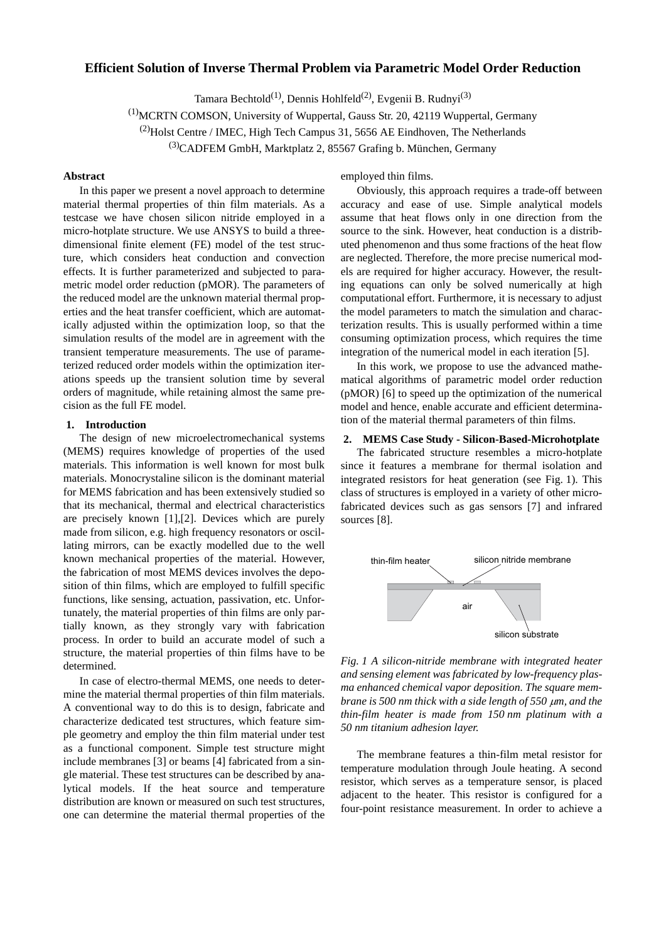# **Efficient Solution of Inverse Thermal Problem via Parametric Model Order Reduction**

Tamara Bechtold<sup>(1)</sup>, Dennis Hohlfeld<sup>(2)</sup>, Evgenii B. Rudnyi<sup>(3)</sup>

(1)MCRTN COMSON, University of Wuppertal, Gauss Str. 20, 42119 Wuppertal, Germany

 $^{(2)}$ Holst Centre / IMEC, High Tech Campus 31, 5656 AE Eindhoven, The Netherlands

 $^{(3)}$ CADFEM GmbH, Marktplatz 2, 85567 Grafing b. München, Germany

### **Abstract**

In this paper we present a novel approach to determine material thermal properties of thin film materials. As a testcase we have chosen silicon nitride employed in a micro-hotplate structure. We use ANSYS to build a threedimensional finite element (FE) model of the test structure, which considers heat conduction and convection effects. It is further parameterized and subjected to parametric model order reduction (pMOR). The parameters of the reduced model are the unknown material thermal properties and the heat transfer coefficient, which are automatically adjusted within the optimization loop, so that the simulation results of the model are in agreement with the transient temperature measurements. The use of parameterized reduced order models within the optimization iterations speeds up the transient solution time by several orders of magnitude, while retaining almost the same precision as the full FE model.

### **1. Introduction**

The design of new microelectromechanical systems (MEMS) requires knowledge of properties of the used materials. This information is well known for most bulk materials. Monocrystaline silicon is the dominant material for MEMS fabrication and has been extensively studied so that its mechanical, thermal and electrical characteristics are precisely known [1],[2]. Devices which are purely made from silicon, e.g. high frequency resonators or oscillating mirrors, can be exactly modelled due to the well known mechanical properties of the material. However, the fabrication of most MEMS devices involves the deposition of thin films, which are employed to fulfill specific functions, like sensing, actuation, passivation, etc. Unfortunately, the material properties of thin films are only partially known, as they strongly vary with fabrication process. In order to build an accurate model of such a structure, the material properties of thin films have to be determined.

In case of electro-thermal MEMS, one needs to determine the material thermal properties of thin film materials. A conventional way to do this is to design, fabricate and characterize dedicated test structures, which feature simple geometry and employ the thin film material under test as a functional component. Simple test structure might include membranes [3] or beams [4] fabricated from a single material. These test structures can be described by analytical models. If the heat source and temperature distribution are known or measured on such test structures, one can determine the material thermal properties of the employed thin films.

Obviously, this approach requires a trade-off between accuracy and ease of use. Simple analytical models assume that heat flows only in one direction from the source to the sink. However, heat conduction is a distributed phenomenon and thus some fractions of the heat flow are neglected. Therefore, the more precise numerical models are required for higher accuracy. However, the resulting equations can only be solved numerically at high computational effort. Furthermore, it is necessary to adjust the model parameters to match the simulation and characterization results. This is usually performed within a time consuming optimization process, which requires the time integration of the numerical model in each iteration [5].

In this work, we propose to use the advanced mathematical algorithms of parametric model order reduction (pMOR) [6] to speed up the optimization of the numerical model and hence, enable accurate and efficient determination of the material thermal parameters of thin films.

### **2. MEMS Case Study - Silicon-Based-Microhotplate**

The fabricated structure resembles a micro-hotplate since it features a membrane for thermal isolation and integrated resistors for heat generation (see Fig. 1). This class of structures is employed in a variety of other microfabricated devices such as gas sensors [7] and infrared sources [8].



*Fig. 1 A silicon-nitride membrane with integrated heater and sensing element was fabricated by low-frequency plasma enhanced chemical vapor deposition. The square membrane is 500 nm thick with a side length of 550* <sup>μ</sup>*m, and the thin-film heater is made from 150 nm platinum with a 50 nm titanium adhesion layer.*

The membrane features a thin-film metal resistor for temperature modulation through Joule heating. A second resistor, which serves as a temperature sensor, is placed adjacent to the heater. This resistor is configured for a four-point resistance measurement. In order to achieve a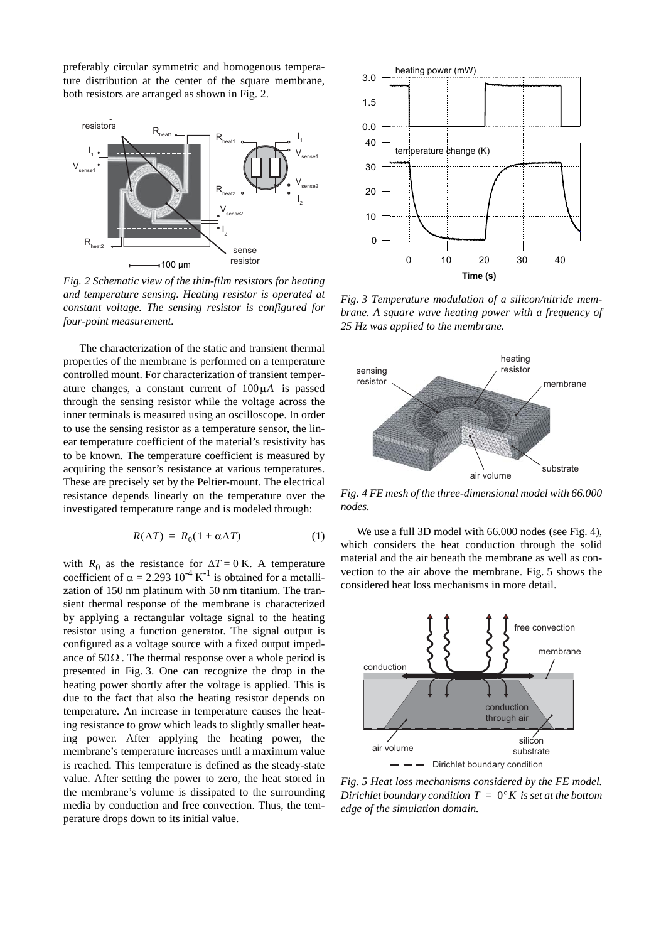preferably circular symmetric and homogenous temperature distribution at the center of the square membrane, both resistors are arranged as shown in Fig. 2.



*Fig. 2 Schematic view of the thin-film resistors for heating and temperature sensing. Heating resistor is operated at constant voltage. The sensing resistor is configured for four-point measurement.*

The characterization of the static and transient thermal properties of the membrane is performed on a temperature controlled mount. For characterization of transient temperature changes, a constant current of  $100 \mu A$  is passed through the sensing resistor while the voltage across the inner terminals is measured using an oscilloscope. In order to use the sensing resistor as a temperature sensor, the linear temperature coefficient of the material's resistivity has to be known. The temperature coefficient is measured by acquiring the sensor's resistance at various temperatures. These are precisely set by the Peltier-mount. The electrical resistance depends linearly on the temperature over the investigated temperature range and is modeled through:

$$
R(\Delta T) = R_0(1 + \alpha \Delta T) \tag{1}
$$

with  $R_0$  as the resistance for  $\Delta T = 0$  K. A temperature coefficient of  $\alpha = 2.293 \times 10^{-4} \text{ K}^{-1}$  is obtained for a metallization of 150 nm platinum with 50 nm titanium. The transient thermal response of the membrane is characterized by applying a rectangular voltage signal to the heating resistor using a function generator. The signal output is configured as a voltage source with a fixed output impedance of  $50\Omega$ . The thermal response over a whole period is presented in Fig. 3. One can recognize the drop in the heating power shortly after the voltage is applied. This is due to the fact that also the heating resistor depends on temperature. An increase in temperature causes the heating resistance to grow which leads to slightly smaller heating power. After applying the heating power, the membrane's temperature increases until a maximum value is reached. This temperature is defined as the steady-state value. After setting the power to zero, the heat stored in the membrane's volume is dissipated to the surrounding media by conduction and free convection. Thus, the temperature drops down to its initial value.



*Fig. 3 Temperature modulation of a silicon/nitride membrane. A square wave heating power with a frequency of 25 Hz was applied to the membrane.*



*Fig. 4 FE mesh of the three-dimensional model with 66.000 nodes.*

We use a full 3D model with 66.000 nodes (see Fig. 4), which considers the heat conduction through the solid material and the air beneath the membrane as well as convection to the air above the membrane. Fig. 5 shows the considered heat loss mechanisms in more detail.



*Fig. 5 Heat loss mechanisms considered by the FE model. Dirichlet boundary condition*  $T = 0^\circ K$  *is set at the bottom edge of the simulation domain.*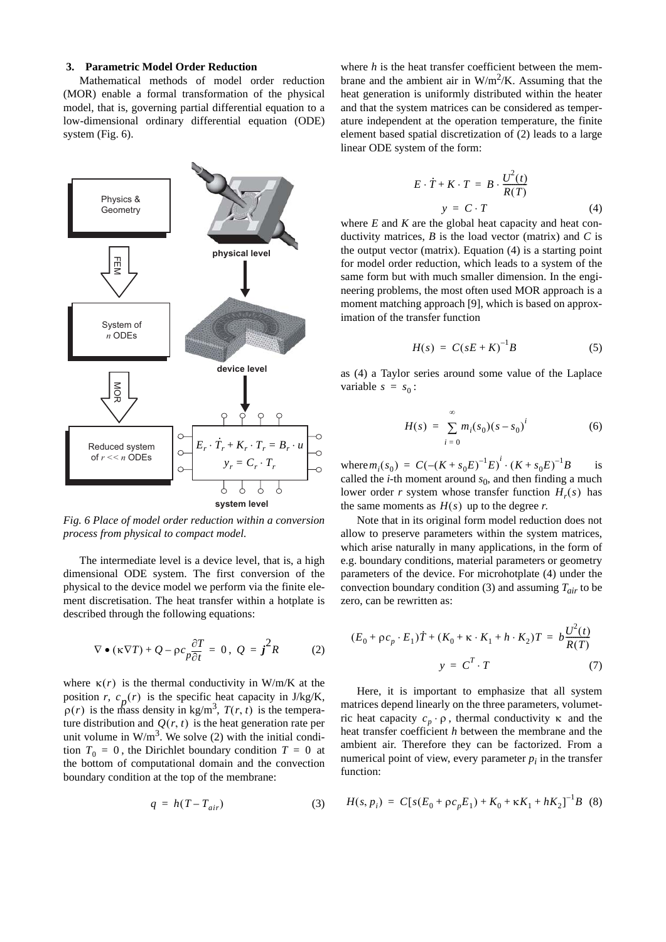### **3. Parametric Model Order Reduction**

Mathematical methods of model order reduction (MOR) enable a formal transformation of the physical model, that is, governing partial differential equation to a low-dimensional ordinary differential equation (ODE) system (Fig. 6).



*Fig. 6 Place of model order reduction within a conversion*

The intermediate level is a device level, that is, a high dimensional ODE system. The first conversion of the physical to the device model we perform via the finite element discretisation. The heat transfer within a hotplate is described through the following equations:

$$
\nabla \bullet (\kappa \nabla T) + Q - \rho c \frac{\partial T}{\partial t} = 0, \ Q = j^2 R \tag{2}
$$

where  $\kappa(r)$  is the thermal conductivity in W/m/K at the position *r*,  $c_p(r)$  is the specific heat capacity in J/kg/K,  $\rho(r)$  is the mass density in kg/m<sup>3</sup>,  $T(r, t)$  is the temperature distribution and  $Q(r, t)$  is the heat generation rate per unit volume in  $W/m^3$ . We solve (2) with the initial condition  $T_0 = 0$ , the Dirichlet boundary condition  $T = 0$  at the bottom of computational domain and the convection boundary condition at the top of the membrane:

$$
q = h(T - T_{air}) \tag{3}
$$

where *h* is the heat transfer coefficient between the membrane and the ambient air in  $W/m^2/K$ . Assuming that the heat generation is uniformly distributed within the heater and that the system matrices can be considered as temperature independent at the operation temperature, the finite element based spatial discretization of (2) leads to a large linear ODE system of the form:

$$
E \cdot \dot{T} + K \cdot T = B \cdot \frac{U^2(t)}{R(T)}
$$
  

$$
y = C \cdot T
$$
 (4)

where *E* and *K* are the global heat capacity and heat conductivity matrices, *B* is the load vector (matrix) and *C* is the output vector (matrix). Equation (4) is a starting point for model order reduction, which leads to a system of the same form but with much smaller dimension. In the engineering problems, the most often used MOR approach is a moment matching approach [9], which is based on approximation of the transfer function

$$
H(s) = C(sE + K)^{-1}B \tag{5}
$$

as (4) a Taylor series around some value of the Laplace variable  $s = s_0$ :

$$
H(s) = \sum_{i=0}^{\infty} m_i(s_0) (s - s_0)^i
$$
 (6)

where  $m_i(s_0) = C(-(K+s_0E)^{-1}E)^i \cdot (K+s_0E)^{-1}B$  is called the *i*-th moment around  $s_0$ , and then finding a much lower order *r* system whose transfer function  $H_r(s)$  has the same moments as  $H(s)$  up to the degree *r*.

Note that in its original form model reduction does not allow to preserve parameters within the system matrices, which arise naturally in many applications, in the form of e.g. boundary conditions, material parameters or geometry parameters of the device. For microhotplate (4) under the convection boundary condition (3) and assuming  $T_{air}$  to be zero, can be rewritten as:

$$
(E_0 + \rho c_p \cdot E_1)T + (K_0 + \kappa \cdot K_1 + h \cdot K_2)T = b\frac{U^2(t)}{R(T)}
$$
  

$$
y = C^T \cdot T
$$
 (7)

Here, it is important to emphasize that all system matrices depend linearly on the three parameters, volumetric heat capacity  $c_p \cdot \rho$ , thermal conductivity  $\kappa$  and the heat transfer coefficient *h* between the membrane and the ambient air. Therefore they can be factorized. From a numerical point of view, every parameter  $p_i$  in the transfer function:

$$
H(s, p_i) = C[s(E_0 + \rho c_p E_1) + K_0 + \kappa K_1 + hK_2]^{-1}B
$$
 (8)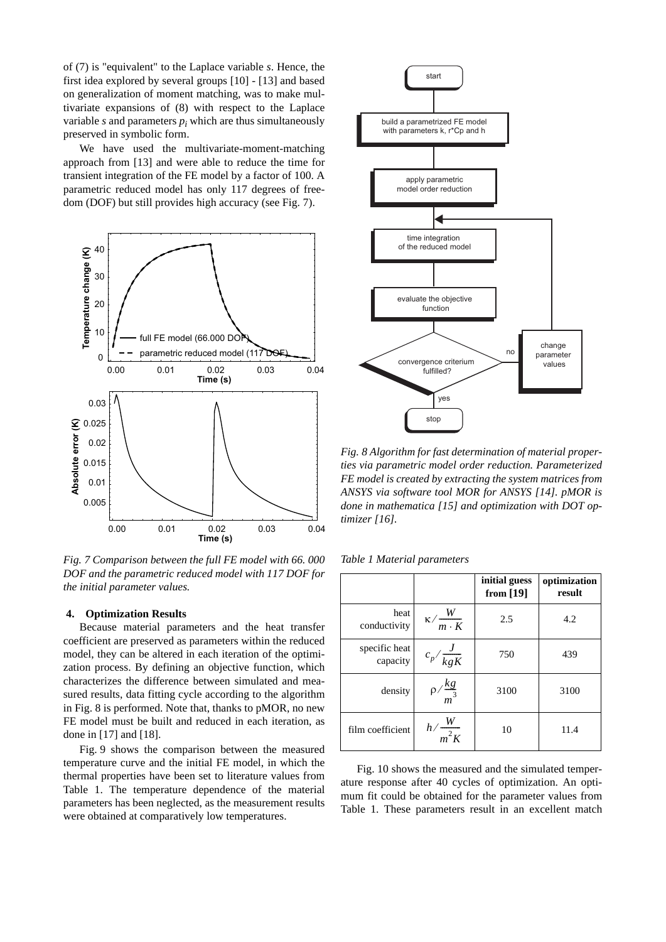of (7) is "equivalent" to the Laplace variable *s*. Hence, the first idea explored by several groups [10] - [13] and based on generalization of moment matching, was to make multivariate expansions of (8) with respect to the Laplace variable  $s$  and parameters  $p_i$  which are thus simultaneously preserved in symbolic form.

We have used the multivariate-moment-matching approach from [13] and were able to reduce the time for transient integration of the FE model by a factor of 100. A parametric reduced model has only 117 degrees of freedom (DOF) but still provides high accuracy (see Fig. 7).



*Fig. 7 Comparison between the full FE model with 66. 000 DOF and the parametric reduced model with 117 DOF for the initial parameter values.*

#### **4. Optimization Results**

Because material parameters and the heat transfer coefficient are preserved as parameters within the reduced model, they can be altered in each iteration of the optimization process. By defining an objective function, which characterizes the difference between simulated and measured results, data fitting cycle according to the algorithm in Fig. 8 is performed. Note that, thanks to pMOR, no new FE model must be built and reduced in each iteration, as done in [17] and [18].

Fig. 9 shows the comparison between the measured temperature curve and the initial FE model, in which the thermal properties have been set to literature values from Table 1. The temperature dependence of the material parameters has been neglected, as the measurement results were obtained at comparatively low temperatures.



*Fig. 8 Algorithm for fast determination of material properties via parametric model order reduction. Parameterized FE model is created by extracting the system matrices from ANSYS via software tool MOR for ANSYS [14]. pMOR is done in mathematica [15] and optimization with DOT optimizer [16].*

*Table 1 Material parameters*

|                           |                                | initial guess<br>from $[19]$ | optimization<br>result |
|---------------------------|--------------------------------|------------------------------|------------------------|
| heat<br>conductivity      | $\kappa / \frac{W}{m \cdot K}$ | 2.5                          | 4.2                    |
| specific heat<br>capacity | $c_p / \frac{J}{kgK}$          | 750                          | 439                    |
| density                   | $p / \frac{kg}{m^3}$           | 3100                         | 3100                   |
| film coefficient          | $h/\frac{w}{m^2K}$             | 10                           | 11.4                   |

Fig. 10 shows the measured and the simulated temperature response after 40 cycles of optimization. An optimum fit could be obtained for the parameter values from Table 1. These parameters result in an excellent match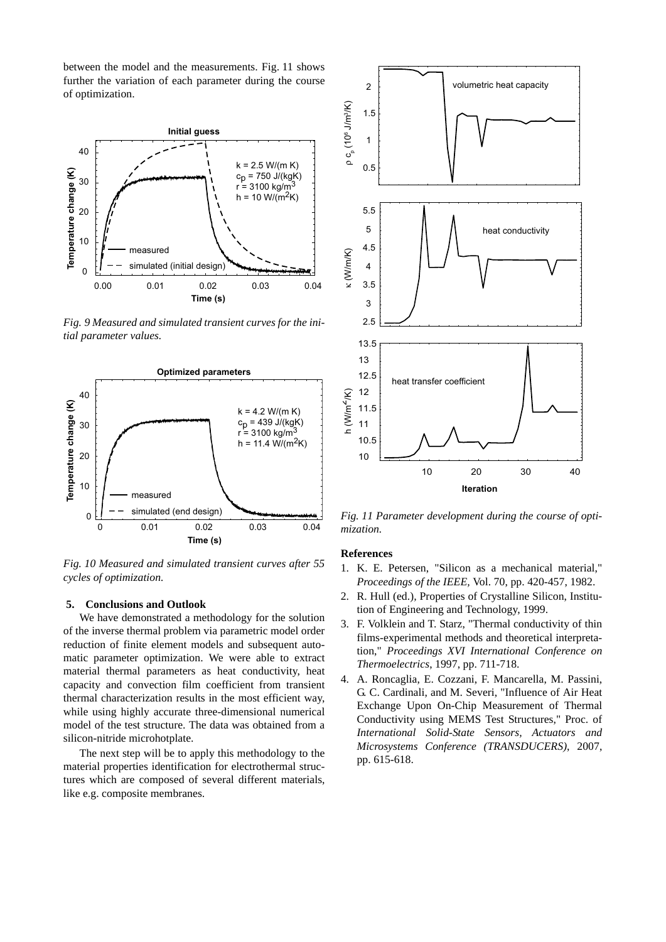between the model and the measurements. Fig. 11 shows further the variation of each parameter during the course of optimization.



*Fig. 9 Measured and simulated transient curves for the initial parameter values.*



*Fig. 10 Measured and simulated transient curves after 55 cycles of optimization.*

## **5. Conclusions and Outlook**

We have demonstrated a methodology for the solution of the inverse thermal problem via parametric model order reduction of finite element models and subsequent automatic parameter optimization. We were able to extract material thermal parameters as heat conductivity, heat capacity and convection film coefficient from transient thermal characterization results in the most efficient way, while using highly accurate three-dimensional numerical model of the test structure. The data was obtained from a silicon-nitride microhotplate.

The next step will be to apply this methodology to the material properties identification for electrothermal structures which are composed of several different materials, like e.g. composite membranes.



*Fig. 11 Parameter development during the course of optimization.*

#### **References**

- 1. K. E. Petersen, "Silicon as a mechanical material," *Proceedings of the IEEE,* Vol. 70, pp. 420-457, 1982.
- 2. R. Hull (ed.)*,* Properties of Crystalline Silicon, Institution of Engineering and Technology, 1999.
- 3. F. Volklein and T. Starz, "Thermal conductivity of thin films-experimental methods and theoretical interpretation," *Proceedings XVI International Conference on Thermoelectrics*, 1997, pp. 711-718.
- 4. A. Roncaglia, E. Cozzani, F. Mancarella, M. Passini, G. C. Cardinali, and M. Severi, "Influence of Air Heat Exchange Upon On-Chip Measurement of Thermal Conductivity using MEMS Test Structures," Proc. of *International Solid-State Sensors, Actuators and Microsystems Conference (TRANSDUCERS)*, 2007, pp. 615-618.